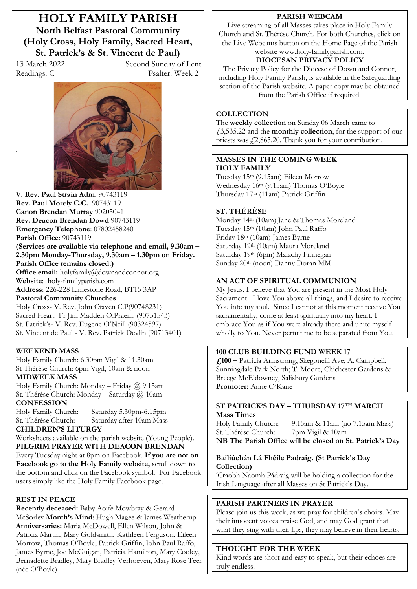**HOLY FAMILY PARISH North Belfast Pastoral Community (Holy Cross, Holy Family, Sacred Heart, St. Patrick's & St. Vincent de Paul)** 

.

13 March 2022 Second Sunday of Lent Readings: C Psalter: Week 2



**V. Rev. Paul Strain Adm**. 90743119 **Rev. Paul Morely C.C.** 90743119 **Canon Brendan Murray** 90205041 **Rev. Deacon Brendan Dowd** 90743119 **Emergency Telephone**: 07802458240 **Parish Office**: 90743119 **(Services are available via telephone and email, 9.30am –** 2.30pm Monday-Thursday, 9.30am – 1.30pm on Friday. **Parish Office remains closed.) Office email:** holyfamily@downandconnor.org **Website**: holy-familyparish.com **Address**: 226-228 Limestone Road, BT15 3AP **Pastoral Community Churches** Holy Cross- V. Rev. John Craven C.P(90748231) Sacred Heart- Fr Jim Madden O.Praem. (90751543) St. Patrick's- V. Rev. Eugene O'Neill (90324597) St. Vincent de Paul - V. Rev. Patrick Devlin (90713401)

#### **WEEKEND MASS**

Holy Family Church: 6.30pm Vigil & 11.30am St Thérèse Church: 6pm Vigil, 10am & noon

### **MIDWEEK MASS**

Holy Family Church: Monday - Friday  $@$  9.15am St. Thérèse Church: Monday - Saturday @ 10am **CONFESSION**

Holy Family Church: Saturday 5.30pm-6.15pm St. Thérèse Church: Saturday after 10am Mass

**CHILDREN·S LITURGY** 

Worksheets available on the parish website (Young People). **PILGRIM PRAYER WITH DEACON BRENDAN** Every Tuesday night at 8pm on Facebook. **If you are not on Facebook go to the Holy Family website,** scroll down to the bottom and click on the Facebook symbol. For Facebook users simply like the Holy Family Facebook page.

### **REST IN PEACE**

**Recently deceased:** Baby Aoife Mowbray & Gerard McSorley **Month's Mind**: Hugh Magee & James Weatherup **Anniversaries:** Maria McDowell, Ellen Wilson, John & Patricia Martin, Mary Goldsmith, Kathleen Ferguson, Eileen Morrow, Thomas O'Boyle, Patrick Griffin, John Paul Raffo, James Byrne, Joe McGuigan, Patricia Hamilton, Mary Cooley, Bernadette Bradley, Mary Bradley Verhoeven, Mary Rose Teer (née O'Boyle)

#### **PARISH WEBCAM**

Live streaming of all Masses takes place in Holy Family Church and St. Thérèse Church. For both Churches, click on the Live Webcams button on the Home Page of the Parish website www.holy-familyparish.com.

# **DIOCESAN PRIVACY POLICY**

The Privacy Policy for the Diocese of Down and Connor, including Holy Family Parish, is available in the Safeguarding section of the Parish website. A paper copy may be obtained from the Parish Office if required.

### **COLLECTION**

The **weekly collection** on Sunday 06 March came to £3,535.22 and the **monthly collection**, for the support of our priests was  $\sqrt{2,865.20}$ . Thank you for your contribution.

#### **MASSES IN THE COMING WEEK HOLY FAMILY**

Tuesday 15th (9.15am) Eileen Morrow Wednesday 16th (9.15am) Thomas O'Bovle Thursday 17th (11am) Patrick Griffin

### **ST. THÉRÈSE**

Monday 14th (10am) Jane & Thomas Moreland Tuesday 15th (10am) John Paul Raffo Friday 18th (10am) James Byrne Saturday 19th (10am) Maura Moreland Saturday 19th (6pm) Malachy Finnegan Sunday 20th (noon) Danny Doran MM

### **AN ACT OF SPIRITUAL COMMUNION**

My Jesus, I believe that You are present in the Most Holy Sacrament. I love You above all things, and I desire to receive You into my soul. Since I cannot at this moment receive You sacramentally, come at least spiritually into my heart. I embrace You as if You were already there and unite myself wholly to You. Never permit me to be separated from You.

#### **100 CLUB BUILDING FUND WEEK 17**

**£100 ²** Patricia Armstrong, Skegoneill Ave; A. Campbell, Sunningdale Park North; T. Moore, Chichester Gardens & Breege McEldowney, Salisbury Gardens **Promoter:** Anne O'Kane

#### **ST PATRICK·S DAY ² THURSDAY 17TH MARCH Mass Times**

Holy Family Church: 9.15am & 11am (no 7.15am Mass)<br>St. Thérèse Church: 7pm Vigil & 10am St. Thérèse Church:

**NB The Parish Office will be closed on St. Patrick·s Day** 

### **Bailiúchán Lá Fhéile Padraig. (St Patrick's Day Collection)**

'Craobh Naomh Pádraig will be holding a collection for the Irish Language after all Masses on St Patrick's Day.

### **PARISH PARTNERS IN PRAYER**

Please join us this week, as we pray for children's choirs. May their innocent voices praise God, and may God grant that what they sing with their lips, they may believe in their hearts.

## **THOUGHT FOR THE WEEK**

Kind words are short and easy to speak, but their echoes are truly endless.